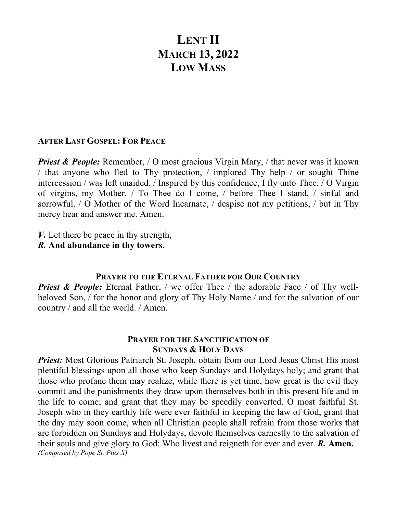# **LENT II MARCH 13, 2022 LOW MASS**

## **AFTER LAST GOSPEL: FOR PEACE**

*Priest & People:* Remember, / O most gracious Virgin Mary, / that never was it known / that anyone who fled to Thy protection, / implored Thy help / or sought Thine intercession / was left unaided. / Inspired by this confidence, I fly unto Thee, / O Virgin of virgins, my Mother. / To Thee do I come, / before Thee I stand, / sinful and sorrowful. / O Mother of the Word Incarnate, / despise not my petitions, / but in Thy mercy hear and answer me. Amen.

- *V.* Let there be peace in thy strength,
- *R.* **And abundance in thy towers.**

## **PRAYER TO THE ETERNAL FATHER FOR OUR COUNTRY**

*Priest & People: Eternal Father, / we offer Thee / the adorable Face / of Thy well*beloved Son, / for the honor and glory of Thy Holy Name / and for the salvation of our country / and all the world. / Amen.

## **PRAYER FOR THE SANCTIFICATION OF SUNDAYS & HOLY DAYS**

*Priest:* Most Glorious Patriarch St. Joseph, obtain from our Lord Jesus Christ His most plentiful blessings upon all those who keep Sundays and Holydays holy; and grant that those who profane them may realize, while there is yet time, how great is the evil they commit and the punishments they draw upon themselves both in this present life and in the life to come; and grant that they may be speedily converted. O most faithful St. Joseph who in they earthly life were ever faithful in keeping the law of God, grant that the day may soon come, when all Christian people shall refrain from those works that are forbidden on Sundays and Holydays, devote themselves earnestly to the salvation of their souls and give glory to God: Who livest and reigneth for ever and ever. *R.* **Amen.** *(Composed by Pope St. Pius X)*